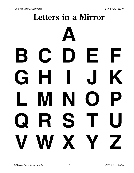## Letters in a Mirror

## $\mathbf B$ E F  $\mathbf C$ Н K  $\overline{\mathbf{G}}$ 7  $\blacktriangle$  $\blacksquare$ S K L IX 7